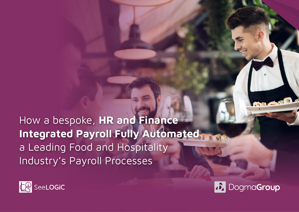How a bespoke, **HR and Finance Integrated Payroll Fully Automated** a Leading Food and Hospitality Industry's Payroll Processes



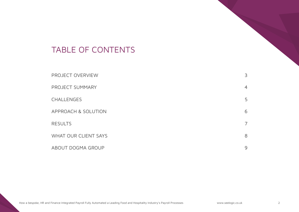### TABLE OF CONTENTS

| <b>PROJECT OVERVIEW</b>     | 3              |
|-----------------------------|----------------|
| PROJECT SUMMARY             | $\overline{4}$ |
| <b>CHALLENGES</b>           | 5              |
| APPROACH & SOLUTION         | 6              |
| <b>RESULTS</b>              | 7              |
| <b>WHAT OUR CLIENT SAYS</b> | 8              |
| ABOUT DOGMA GROUP           | 9              |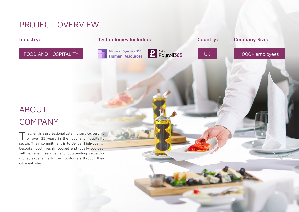## <span id="page-2-0"></span>PROJECT OVERVIEW

#### **Industry:**

### FOOD AND HOSPITALITY

#### **Technologies Included:**





How a bespoke, HR and Finance Integrated Payroll Fully Automated a Leading Food and Hospitality Industry's Payroll Processes [www.seelogic.co.uk](https://seelogic.co.uk/) 3

**Country: Company Size:** 

### UK 1000+ employees

# ABOUT COMPANY

 $\blacksquare$  he client is a professional catering service, serving for over 25 years in the food and hospitality sector. Their commitment is to deliver high-quality, bespoke food, freshly cooked and locally sourced, with excellent service, and outstanding value for money experience to their customers through their different sites.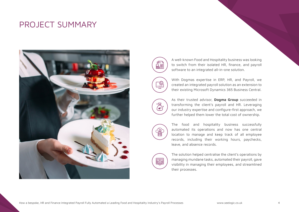### <span id="page-3-0"></span>PROJECT SUMMARY





A well-known Food and Hospitality business was looking to switch from their isolated HR, finance, and payroll software to an integrated all-in-one solution.

With Dogmas expertise in ERP, HR, and Payroll, we created an integrated payroll solution as an extension to their existing Microsoft Dynamics 365 Business Central.



As their trusted advisor, **Dogma Group** succeeded in transforming the client's payroll and HR. Leveraging our industry expertise and configure-first approach, we further helped them lower the total cost of ownership.



The food and hospitality business successfully automated its operations and now has one central location to manage and keep track of all employee records, including their working hours, paychecks, leave, and absence records.



The solution helped centralise the client's operations by managing mundane tasks, automated their payroll, gave visibility in managing their employees, and streamlined their processes.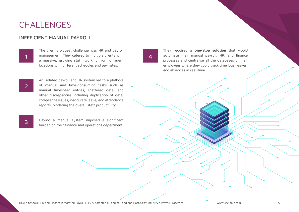### <span id="page-4-0"></span>**CHALLENGES**

#### INEFFICIENT MANUAL PAYROLL

1

The client's biggest challenge was HR and payroll management. They catered to multiple clients with a massive, growing staff, working from different locations with different schedules and pay rates.

4

They required a **one-stop solution** that would automate their manual payroll, HR, and finance processes and centralise all the databases of their employees where they could track time logs, leaves, and absences in real-time.

ARTICLE OF THE DISTRIBUTION OF THE DISTRIBUTION

2

An isolated payroll and HR system led to a plethora of manual and time-consuming tasks such as manual timesheet entries, scattered data, and other discrepancies including duplication of data, compliance issues, inaccurate leave, and attendance reports, hindering the overall staff productivity.

3

Having a manual system imposed a significant burden on their finance and operations department.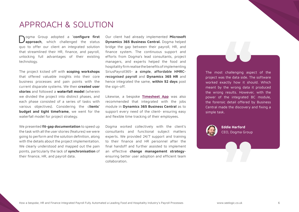### <span id="page-5-0"></span>APPROACH & SOLUTION

ogma Group adopted a **'configure first approach,** which challenged the status quo to offer our client an integrated solution that streamlined their HR, finance, and payroll, unlocking full advantages of their existing technology.

The project kicked off with **scoping workshops**  that offered valuable insights into their core business processes and pain points with the current disparate systems. We then **created user stories** and followed a **waterfall model** (wherein we divided the project into distinct phases, and each phase consisted of a series of tasks with various objectives). Considering the c**lients' budget and tight timeframe**, we went for the waterfall model for project strategy.

We presented **fit-gap documentation** to speed up the task with all the user stories (features) we were going to perform and the solution definition, along with the details about the project implementation. We clearly understood and mapped out the pain points, particularly the lack of **synchronisation** of their finance, HR, and payroll data.

Our client had already implemented **Microsoft Dynamics 365 Business Central.** Dogma helped bridge the gap between their payroll, HR, and finance system. The continuous support and efforts from Dogma's lead consultants, project managers, and experts helped the food and hospitality firm realise the benefits of implementing SiriusPayroll365- **a simple, affordable HMRCrecognised payroll** and **Dynamics 365 HR** and hence integrated the same, **within 52 days** post the sign-off.

Likewise, a bespoke **[Timesheet App](https://www.siriusapp.co.uk/apps/timesheets-app-for-project-service-automation/)** was also recommended that integrated with the jobs module in **Dynamics 365 Business Central** as to support every need of the client- ensuring easy and flexible time tracking of their employees.

Dogma worked collectively with the client's consultants and functional subject matters experts. We provided 24/7 support and training to their finance and HR personnel after the final handoff and further assisted to implement an effective **change management strategy**ensuring better user adoption and efficient team collaboration.

The most challenging aspect of the project was the data side. The software worked exactly how it should. Which meant by the wrong data it produced the wrong results. However, with the power of the integrated BC module, the forensic detail offered by Business Central made the discovery and fixing a simple task.



 **Eddie Harford**  CEO, Dogma Group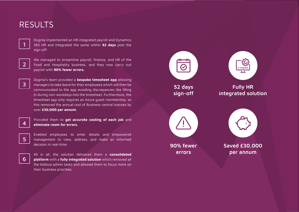### <span id="page-6-0"></span>RESULTS



Dogma implemented an HR integrated payroll and Dynamics 365 HR and integrated the same within **52 days** post the sign-off.



We managed to streamline payroll, finance, and HR of the Food and Hospitality business, and they now carry out payroll with **90% fewer errors.** 



Dogma's team provided a **bespoke timesheet app** allowing managers to take leave for their employees which will then be communicated to the app avoiding discrepancies like filling in during non-workdays into the timesheet. Furthermore, the timesheet app only requires an Azure guest membership, so this removed the annual cost of Business central licenses by over **£30,000 per annum.**



Provided them to **get accurate costing of each job** and **eliminate room for errors.**



Enabled employees to enter details and empowered management to view, address, and make an informed decision in real-time.



All in all, the solution delivered them a **consolidated platform** with a **fully integrated solution** which removed all the tedious admin tasks and allowed them to focus more on their business priorities.

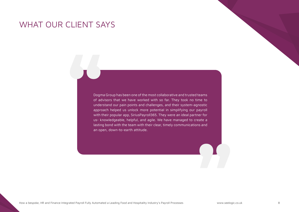### <span id="page-7-0"></span>WHAT OUR CLIENT SAYS

Dogma Group has been one of the most collaborative and trusted teams of advisors that we have worked with so far. They took no time to understand our pain points and challenges, and their system-agnostic approach helped us unlock more potential in simplifying our payroll with their popular app, SiriusPayroll365. They were an ideal partner for us- knowledgeable, helpful, and agile. We have managed to create a lasting bond with the team with their clear, timely communications and an open, down-to-earth attitude.